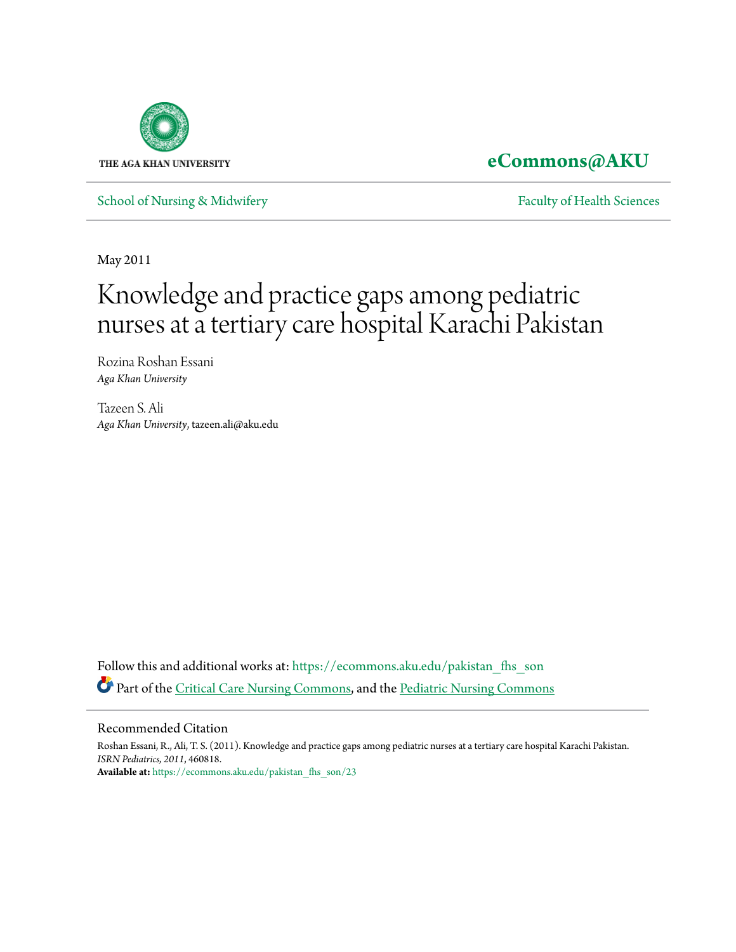

## **[eCommons@AKU](https://ecommons.aku.edu?utm_source=ecommons.aku.edu%2Fpakistan_fhs_son%2F23&utm_medium=PDF&utm_campaign=PDFCoverPages)**

[School of Nursing & Midwifery](https://ecommons.aku.edu/pakistan_fhs_son?utm_source=ecommons.aku.edu%2Fpakistan_fhs_son%2F23&utm_medium=PDF&utm_campaign=PDFCoverPages) **[Faculty of Health Sciences](https://ecommons.aku.edu/pakistan_fhs?utm_source=ecommons.aku.edu%2Fpakistan_fhs_son%2F23&utm_medium=PDF&utm_campaign=PDFCoverPages)** Faculty of Health Sciences

May 2011

# Knowledge and practice gaps among pediatric nurses at a tertiary care hospital Karachi Pakistan

Rozina Roshan Essani *Aga Khan University*

Tazeen S. Ali *Aga Khan University*, tazeen.ali@aku.edu

Follow this and additional works at: [https://ecommons.aku.edu/pakistan\\_fhs\\_son](https://ecommons.aku.edu/pakistan_fhs_son?utm_source=ecommons.aku.edu%2Fpakistan_fhs_son%2F23&utm_medium=PDF&utm_campaign=PDFCoverPages) Part of the [Critical Care Nursing Commons](http://network.bepress.com/hgg/discipline/727?utm_source=ecommons.aku.edu%2Fpakistan_fhs_son%2F23&utm_medium=PDF&utm_campaign=PDFCoverPages), and the [Pediatric Nursing Commons](http://network.bepress.com/hgg/discipline/723?utm_source=ecommons.aku.edu%2Fpakistan_fhs_son%2F23&utm_medium=PDF&utm_campaign=PDFCoverPages)

#### Recommended Citation

Roshan Essani, R., Ali, T. S. (2011). Knowledge and practice gaps among pediatric nurses at a tertiary care hospital Karachi Pakistan. *ISRN Pediatrics, 2011*, 460818. **Available at:** [https://ecommons.aku.edu/pakistan\\_fhs\\_son/23](https://ecommons.aku.edu/pakistan_fhs_son/23)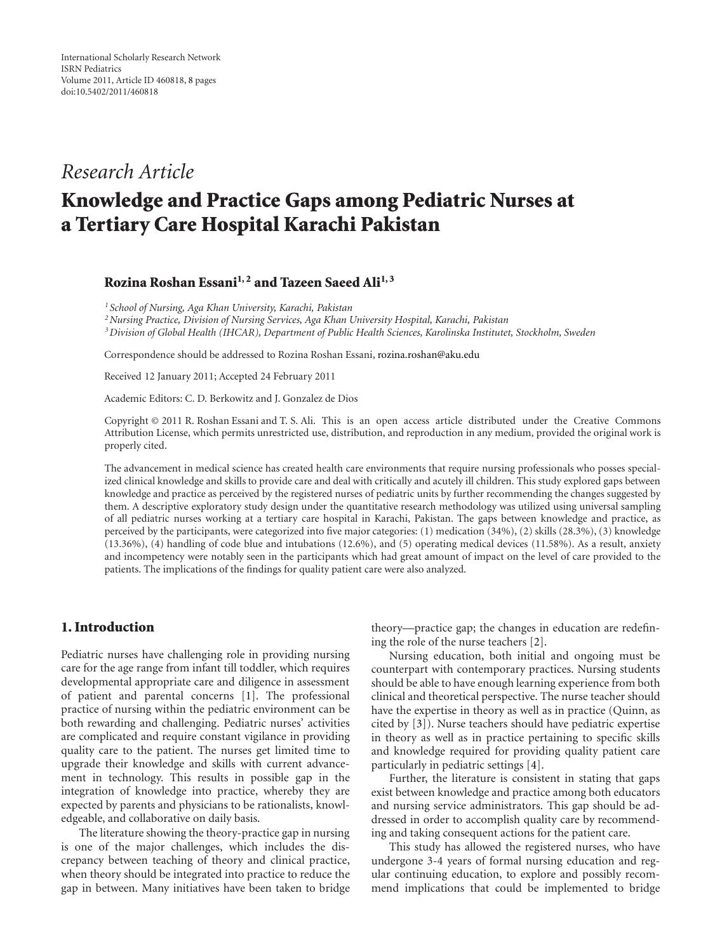### *Research Article*

### **Knowledge and Practice Gaps among Pediatric Nurses at a Tertiary Care Hospital Karachi Pakistan**

#### **Rozina Roshan Essani1, 2 and Tazeen Saeed Ali1, 3**

*<sup>1</sup> School of Nursing, Aga Khan University, Karachi, Pakistan*

*2Nursing Practice, Division of Nursing Services, Aga Khan University Hospital, Karachi, Pakistan*

*3Division of Global Health (IHCAR), Department of Public Health Sciences, Karolinska Institutet, Stockholm, Sweden*

Correspondence should be addressed to Rozina Roshan Essani, rozina.roshan@aku.edu

Received 12 January 2011; Accepted 24 February 2011

Academic Editors: C. D. Berkowitz and J. Gonzalez de Dios

Copyright © 2011 R. Roshan Essani and T. S. Ali. This is an open access article distributed under the Creative Commons Attribution License, which permits unrestricted use, distribution, and reproduction in any medium, provided the original work is properly cited.

The advancement in medical science has created health care environments that require nursing professionals who posses specialized clinical knowledge and skills to provide care and deal with critically and acutely ill children. This study explored gaps between knowledge and practice as perceived by the registered nurses of pediatric units by further recommending the changes suggested by them. A descriptive exploratory study design under the quantitative research methodology was utilized using universal sampling of all pediatric nurses working at a tertiary care hospital in Karachi, Pakistan. The gaps between knowledge and practice, as perceived by the participants, were categorized into five major categories: (1) medication (34%), (2) skills (28.3%), (3) knowledge (13.36%), (4) handling of code blue and intubations (12.6%), and (5) operating medical devices (11.58%). As a result, anxiety and incompetency were notably seen in the participants which had great amount of impact on the level of care provided to the patients. The implications of the findings for quality patient care were also analyzed.

### **1. Introduction**

Pediatric nurses have challenging role in providing nursing care for the age range from infant till toddler, which requires developmental appropriate care and diligence in assessment of patient and parental concerns [1]. The professional practice of nursing within the pediatric environment can be both rewarding and challenging. Pediatric nurses' activities are complicated and require constant vigilance in providing quality care to the patient. The nurses get limited time to upgrade their knowledge and skills with current advancement in technology. This results in possible gap in the integration of knowledge into practice, whereby they are expected by parents and physicians to be rationalists, knowledgeable, and collaborative on daily basis.

The literature showing the theory-practice gap in nursing is one of the major challenges, which includes the discrepancy between teaching of theory and clinical practice, when theory should be integrated into practice to reduce the gap in between. Many initiatives have been taken to bridge theory—practice gap; the changes in education are redefining the role of the nurse teachers [2].

Nursing education, both initial and ongoing must be counterpart with contemporary practices. Nursing students should be able to have enough learning experience from both clinical and theoretical perspective. The nurse teacher should have the expertise in theory as well as in practice (Quinn, as cited by [3]). Nurse teachers should have pediatric expertise in theory as well as in practice pertaining to specific skills and knowledge required for providing quality patient care particularly in pediatric settings [4].

Further, the literature is consistent in stating that gaps exist between knowledge and practice among both educators and nursing service administrators. This gap should be addressed in order to accomplish quality care by recommending and taking consequent actions for the patient care.

This study has allowed the registered nurses, who have undergone 3-4 years of formal nursing education and regular continuing education, to explore and possibly recommend implications that could be implemented to bridge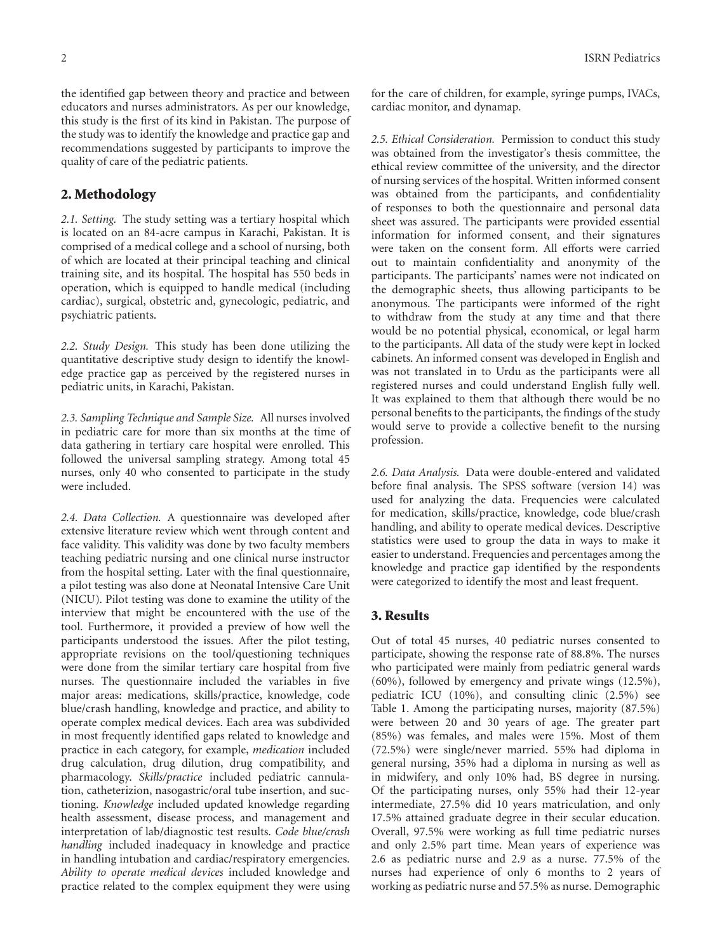the identified gap between theory and practice and between educators and nurses administrators. As per our knowledge, this study is the first of its kind in Pakistan. The purpose of the study was to identify the knowledge and practice gap and recommendations suggested by participants to improve the quality of care of the pediatric patients.

#### **2. Methodology**

*2.1. Setting.* The study setting was a tertiary hospital which is located on an 84-acre campus in Karachi, Pakistan. It is comprised of a medical college and a school of nursing, both of which are located at their principal teaching and clinical training site, and its hospital. The hospital has 550 beds in operation, which is equipped to handle medical (including cardiac), surgical, obstetric and, gynecologic, pediatric, and psychiatric patients.

*2.2. Study Design.* This study has been done utilizing the quantitative descriptive study design to identify the knowledge practice gap as perceived by the registered nurses in pediatric units, in Karachi, Pakistan.

*2.3. Sampling Technique and Sample Size.* All nurses involved in pediatric care for more than six months at the time of data gathering in tertiary care hospital were enrolled. This followed the universal sampling strategy. Among total 45 nurses, only 40 who consented to participate in the study were included.

*2.4. Data Collection.* A questionnaire was developed after extensive literature review which went through content and face validity. This validity was done by two faculty members teaching pediatric nursing and one clinical nurse instructor from the hospital setting. Later with the final questionnaire, a pilot testing was also done at Neonatal Intensive Care Unit (NICU)*.* Pilot testing was done to examine the utility of the interview that might be encountered with the use of the tool. Furthermore, it provided a preview of how well the participants understood the issues. After the pilot testing, appropriate revisions on the tool/questioning techniques were done from the similar tertiary care hospital from five nurses. The questionnaire included the variables in five major areas: medications, skills/practice, knowledge, code blue/crash handling, knowledge and practice, and ability to operate complex medical devices. Each area was subdivided in most frequently identified gaps related to knowledge and practice in each category, for example, *medication* included drug calculation, drug dilution, drug compatibility, and pharmacology. *Skills/practice* included pediatric cannulation, catheterizion, nasogastric/oral tube insertion, and suctioning. *Knowledge* included updated knowledge regarding health assessment, disease process, and management and interpretation of lab/diagnostic test results. *Code blue/crash handling* included inadequacy in knowledge and practice in handling intubation and cardiac/respiratory emergencies. *Ability to operate medical devices* included knowledge and practice related to the complex equipment they were using for the care of children, for example, syringe pumps, IVACs, cardiac monitor, and dynamap.

*2.5. Ethical Consideration.* Permission to conduct this study was obtained from the investigator's thesis committee, the ethical review committee of the university, and the director of nursing services of the hospital. Written informed consent was obtained from the participants, and confidentiality of responses to both the questionnaire and personal data sheet was assured. The participants were provided essential information for informed consent, and their signatures were taken on the consent form. All efforts were carried out to maintain confidentiality and anonymity of the participants. The participants' names were not indicated on the demographic sheets, thus allowing participants to be anonymous. The participants were informed of the right to withdraw from the study at any time and that there would be no potential physical, economical, or legal harm to the participants. All data of the study were kept in locked cabinets. An informed consent was developed in English and was not translated in to Urdu as the participants were all registered nurses and could understand English fully well. It was explained to them that although there would be no personal benefits to the participants, the findings of the study would serve to provide a collective benefit to the nursing profession.

*2.6. Data Analysis.* Data were double-entered and validated before final analysis. The SPSS software (version 14) was used for analyzing the data. Frequencies were calculated for medication, skills/practice, knowledge, code blue/crash handling, and ability to operate medical devices. Descriptive statistics were used to group the data in ways to make it easier to understand. Frequencies and percentages among the knowledge and practice gap identified by the respondents were categorized to identify the most and least frequent.

#### **3. Results**

Out of total 45 nurses, 40 pediatric nurses consented to participate, showing the response rate of 88.8%. The nurses who participated were mainly from pediatric general wards (60%), followed by emergency and private wings (12.5%), pediatric ICU (10%), and consulting clinic (2.5%) see Table 1. Among the participating nurses, majority (87.5%) were between 20 and 30 years of age. The greater part (85%) was females, and males were 15%. Most of them (72.5%) were single/never married. 55% had diploma in general nursing, 35% had a diploma in nursing as well as in midwifery, and only 10% had, BS degree in nursing. Of the participating nurses, only 55% had their 12-year intermediate, 27.5% did 10 years matriculation, and only 17.5% attained graduate degree in their secular education. Overall, 97.5% were working as full time pediatric nurses and only 2.5% part time. Mean years of experience was 2.6 as pediatric nurse and 2.9 as a nurse. 77.5% of the nurses had experience of only 6 months to 2 years of working as pediatric nurse and 57.5% as nurse. Demographic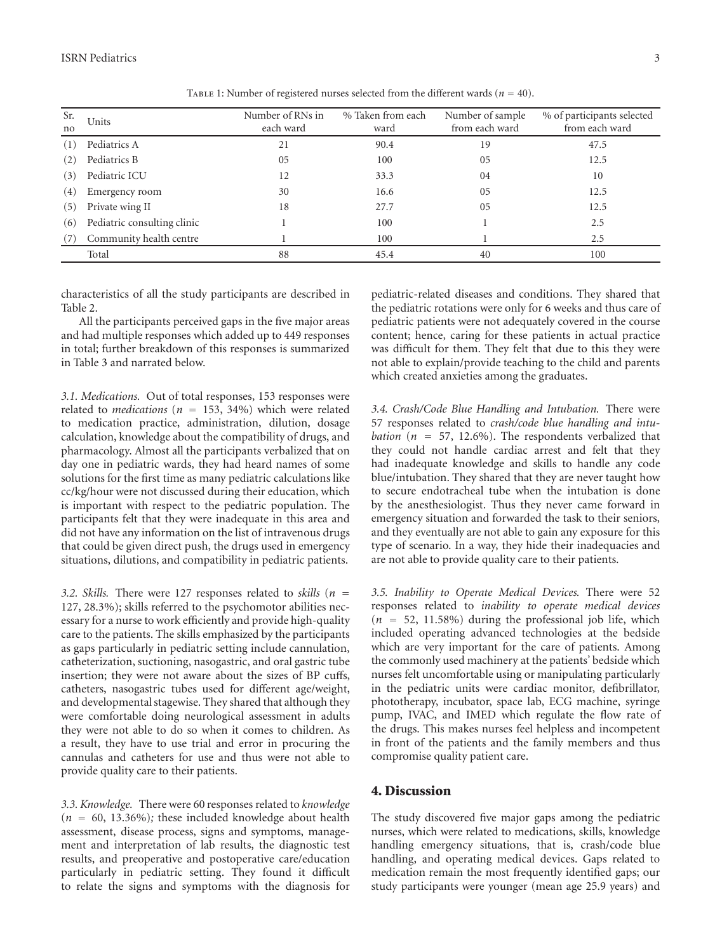#### ISRN Pediatrics 3

| Sr.<br>no | Units                       | Number of RNs in<br>each ward | % Taken from each<br>ward | Number of sample<br>from each ward | % of participants selected<br>from each ward |
|-----------|-----------------------------|-------------------------------|---------------------------|------------------------------------|----------------------------------------------|
|           | Pediatrics A                | 21                            | 90.4                      | 19                                 | 47.5                                         |
| (2)       | Pediatrics B                | 05                            | 100                       | 05                                 | 12.5                                         |
| (3)       | Pediatric ICU               | 12                            | 33.3                      | 04                                 | 10                                           |
| (4)       | Emergency room              | 30                            | 16.6                      | 05                                 | 12.5                                         |
| (5)       | Private wing II             | 18                            | 27.7                      | 05                                 | 12.5                                         |
| (6)       | Pediatric consulting clinic |                               | 100                       |                                    | 2.5                                          |
|           | Community health centre     |                               | 100                       |                                    | 2.5                                          |
|           | Total                       | 88                            | 45.4                      | 40                                 | 100                                          |

TABLE 1: Number of registered nurses selected from the different wards  $(n = 40)$ .

characteristics of all the study participants are described in Table 2.

All the participants perceived gaps in the five major areas and had multiple responses which added up to 449 responses in total; further breakdown of this responses is summarized in Table 3 and narrated below.

*3.1. Medications.* Out of total responses, 153 responses were related to *medications* (*<sup>n</sup>* <sup>=</sup> 153, 34%) which were related to medication practice, administration, dilution, dosage calculation, knowledge about the compatibility of drugs, and pharmacology. Almost all the participants verbalized that on day one in pediatric wards, they had heard names of some solutions for the first time as many pediatric calculations like cc/kg/hour were not discussed during their education, which is important with respect to the pediatric population. The participants felt that they were inadequate in this area and did not have any information on the list of intravenous drugs that could be given direct push, the drugs used in emergency situations, dilutions, and compatibility in pediatric patients.

*3.2. Skills.* There were 127 responses related to *skills* (*<sup>n</sup>* <sup>=</sup> 127, 28.3%); skills referred to the psychomotor abilities necessary for a nurse to work efficiently and provide high-quality care to the patients. The skills emphasized by the participants as gaps particularly in pediatric setting include cannulation, catheterization, suctioning, nasogastric, and oral gastric tube insertion; they were not aware about the sizes of BP cuffs, catheters, nasogastric tubes used for different age/weight, and developmental stagewise. They shared that although they were comfortable doing neurological assessment in adults they were not able to do so when it comes to children. As a result, they have to use trial and error in procuring the cannulas and catheters for use and thus were not able to provide quality care to their patients.

*3.3. Knowledge.* There were 60 responses related to *knowledge*  $(n = 60, 13.36\%)$ ; these included knowledge about health assessment, disease process, signs and symptoms, management and interpretation of lab results, the diagnostic test results, and preoperative and postoperative care/education particularly in pediatric setting. They found it difficult to relate the signs and symptoms with the diagnosis for

pediatric-related diseases and conditions. They shared that the pediatric rotations were only for 6 weeks and thus care of pediatric patients were not adequately covered in the course content; hence, caring for these patients in actual practice was difficult for them. They felt that due to this they were not able to explain/provide teaching to the child and parents which created anxieties among the graduates.

*3.4. Crash/Code Blue Handling and Intubation.* There were 57 responses related to *crash/code blue handling and intubation* ( $n = 57, 12.6\%$ ). The respondents verbalized that they could not handle cardiac arrest and felt that they had inadequate knowledge and skills to handle any code blue/intubation. They shared that they are never taught how to secure endotracheal tube when the intubation is done by the anesthesiologist. Thus they never came forward in emergency situation and forwarded the task to their seniors, and they eventually are not able to gain any exposure for this type of scenario. In a way, they hide their inadequacies and are not able to provide quality care to their patients.

*3.5. Inability to Operate Medical Devices.* There were 52 responses related to *inability to operate medical devices* (*<sup>n</sup>* <sup>=</sup> 52, 11.58%) during the professional job life, which included operating advanced technologies at the bedside which are very important for the care of patients. Among the commonly used machinery at the patients' bedside which nurses felt uncomfortable using or manipulating particularly in the pediatric units were cardiac monitor, defibrillator, phototherapy, incubator, space lab, ECG machine, syringe pump, IVAC, and IMED which regulate the flow rate of the drugs. This makes nurses feel helpless and incompetent in front of the patients and the family members and thus compromise quality patient care.

#### **4. Discussion**

The study discovered five major gaps among the pediatric nurses, which were related to medications, skills, knowledge handling emergency situations, that is, crash/code blue handling, and operating medical devices. Gaps related to medication remain the most frequently identified gaps; our study participants were younger (mean age 25.9 years) and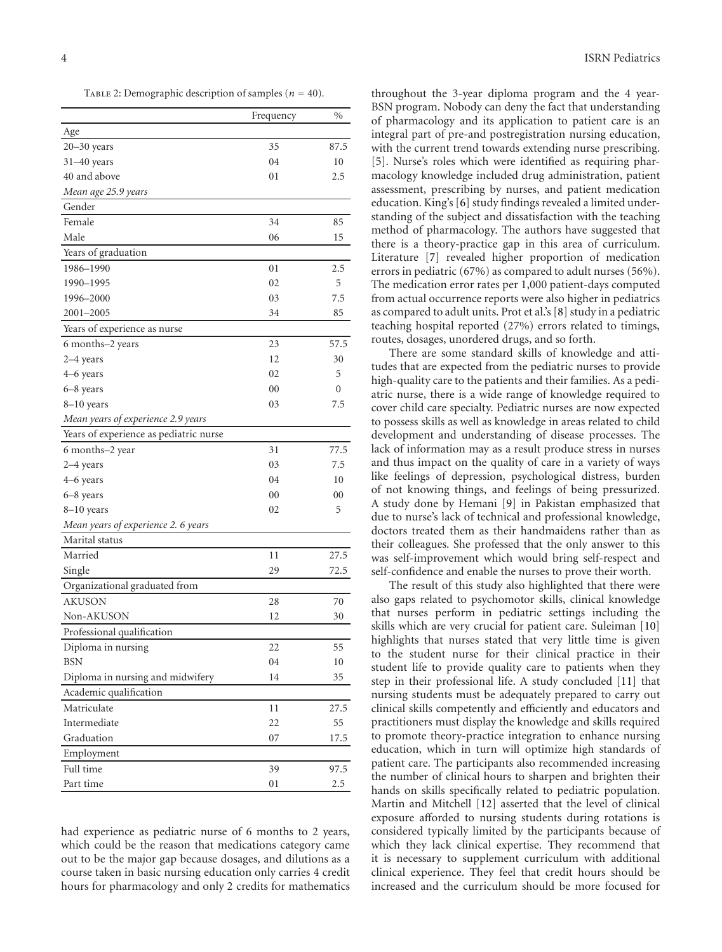Table 2: Demographic description of samples (*<sup>n</sup>* <sup>=</sup> 40)*.*

|                                        | Frequency | $\%$         |
|----------------------------------------|-----------|--------------|
| Age                                    |           |              |
| $20 - 30$ years                        | 35        | 87.5         |
| $31 - 40$ years                        | 04        | 10           |
| 40 and above                           | 01        | 2.5          |
| Mean age 25.9 years                    |           |              |
| Gender                                 |           |              |
| Female                                 | 34        | 85           |
| Male                                   | 06        | 15           |
| Years of graduation                    |           |              |
| 1986-1990                              | 01        | 2.5          |
| 1990-1995                              | 02        | 5            |
| 1996-2000                              | 03        | 7.5          |
| 2001-2005                              | 34        | 85           |
| Years of experience as nurse           |           |              |
| 6 months–2 years                       | 23        | 57.5         |
| 2-4 years                              | 12        | 30           |
| 4–6 years                              | 02        | 5            |
| 6-8 years                              | 00        | $\mathbf{0}$ |
| 8-10 years                             | 03        | 7.5          |
| Mean years of experience 2.9 years     |           |              |
| Years of experience as pediatric nurse |           |              |
| 6 months-2 year                        | 31        | 77.5         |
| 2-4 years                              | 03        | 7.5          |
| 4-6 years                              | 04        | 10           |
| 6-8 years                              | 00        | 00           |
| $8-10$ years                           | 02        | 5            |
| Mean years of experience 2. 6 years    |           |              |
| Marital status                         |           |              |
| Married                                | 11        | 27.5         |
| Single                                 | 29        | 72.5         |
| Organizational graduated from          |           |              |
| <b>AKUSON</b>                          | 28        | 70           |
| Non-AKUSON                             | 12        | 30           |
| Professional qualification             |           |              |
| Diploma in nursing                     | 22        | 55           |
| <b>BSN</b>                             | 04        | 10           |
| Diploma in nursing and midwifery       | 14        | 35           |
| Academic qualification                 |           |              |
| Matriculate                            | 11        | 27.5         |
| Intermediate                           | 22        | 55           |
| Graduation                             | 07        | 17.5         |
| Employment                             |           |              |
| Full time                              | 39        | 97.5         |
| Part time                              | 01        | 2.5          |

had experience as pediatric nurse of 6 months to 2 years, which could be the reason that medications category came out to be the major gap because dosages, and dilutions as a course taken in basic nursing education only carries 4 credit hours for pharmacology and only 2 credits for mathematics throughout the 3-year diploma program and the 4 year-BSN program. Nobody can deny the fact that understanding of pharmacology and its application to patient care is an integral part of pre-and postregistration nursing education, with the current trend towards extending nurse prescribing. [5]. Nurse's roles which were identified as requiring pharmacology knowledge included drug administration, patient assessment, prescribing by nurses, and patient medication education. King's [6] study findings revealed a limited understanding of the subject and dissatisfaction with the teaching method of pharmacology. The authors have suggested that there is a theory-practice gap in this area of curriculum. Literature [7] revealed higher proportion of medication errors in pediatric (67%) as compared to adult nurses (56%). The medication error rates per 1,000 patient-days computed from actual occurrence reports were also higher in pediatrics as compared to adult units. Prot et al.'s [8] study in a pediatric teaching hospital reported (27%) errors related to timings, routes, dosages, unordered drugs, and so forth.

There are some standard skills of knowledge and attitudes that are expected from the pediatric nurses to provide high-quality care to the patients and their families. As a pediatric nurse, there is a wide range of knowledge required to cover child care specialty. Pediatric nurses are now expected to possess skills as well as knowledge in areas related to child development and understanding of disease processes. The lack of information may as a result produce stress in nurses and thus impact on the quality of care in a variety of ways like feelings of depression, psychological distress, burden of not knowing things, and feelings of being pressurized. A study done by Hemani [9] in Pakistan emphasized that due to nurse's lack of technical and professional knowledge, doctors treated them as their handmaidens rather than as their colleagues. She professed that the only answer to this was self-improvement which would bring self-respect and self-confidence and enable the nurses to prove their worth.

The result of this study also highlighted that there were also gaps related to psychomotor skills, clinical knowledge that nurses perform in pediatric settings including the skills which are very crucial for patient care. Suleiman [10] highlights that nurses stated that very little time is given to the student nurse for their clinical practice in their student life to provide quality care to patients when they step in their professional life. A study concluded [11] that nursing students must be adequately prepared to carry out clinical skills competently and efficiently and educators and practitioners must display the knowledge and skills required to promote theory-practice integration to enhance nursing education, which in turn will optimize high standards of patient care. The participants also recommended increasing the number of clinical hours to sharpen and brighten their hands on skills specifically related to pediatric population. Martin and Mitchell [12] asserted that the level of clinical exposure afforded to nursing students during rotations is considered typically limited by the participants because of which they lack clinical expertise. They recommend that it is necessary to supplement curriculum with additional clinical experience. They feel that credit hours should be increased and the curriculum should be more focused for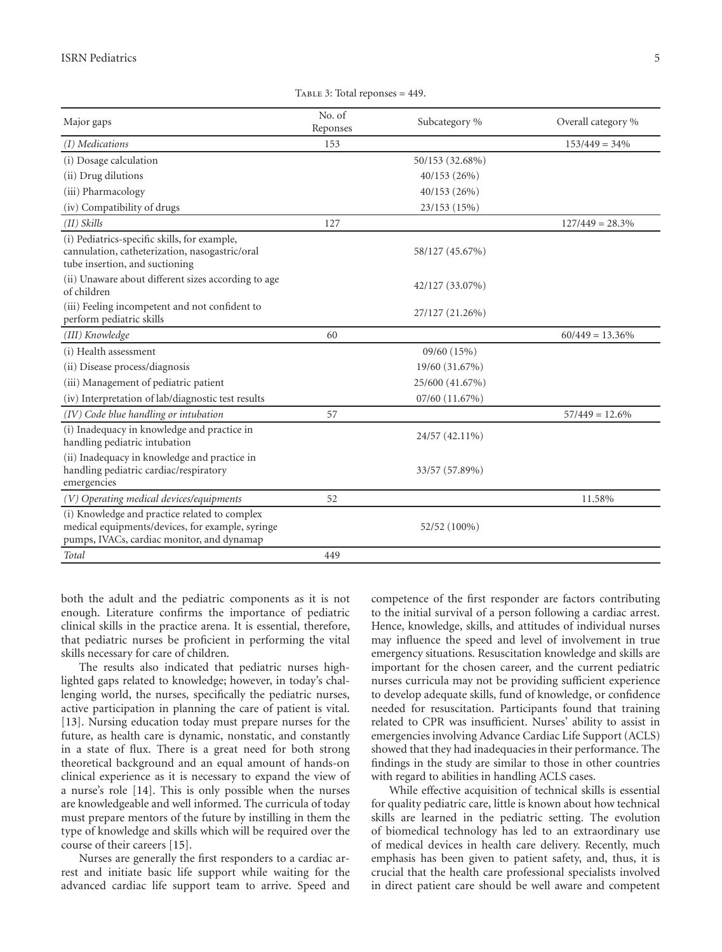TABLE 3: Total reponses = 449.

| Major gaps                                                                                                                                      | No. of<br>Reponses | Subcategory %   | Overall category % |
|-------------------------------------------------------------------------------------------------------------------------------------------------|--------------------|-----------------|--------------------|
| (I) Medications                                                                                                                                 | 153                |                 | $153/449 = 34\%$   |
| (i) Dosage calculation                                                                                                                          |                    | 50/153 (32.68%) |                    |
| (ii) Drug dilutions                                                                                                                             |                    | 40/153 (26%)    |                    |
| (iii) Pharmacology                                                                                                                              |                    | 40/153 (26%)    |                    |
| (iv) Compatibility of drugs                                                                                                                     |                    | 23/153 (15%)    |                    |
| $(II)$ Skills                                                                                                                                   | 127                |                 | $127/449 = 28.3\%$ |
| (i) Pediatrics-specific skills, for example,<br>cannulation, catheterization, nasogastric/oral<br>tube insertion, and suctioning                |                    | 58/127 (45.67%) |                    |
| (ii) Unaware about different sizes according to age<br>of children                                                                              |                    | 42/127 (33.07%) |                    |
| (iii) Feeling incompetent and not confident to<br>perform pediatric skills                                                                      |                    | 27/127 (21.26%) |                    |
| (III) Knowledge                                                                                                                                 | 60                 |                 | $60/449 = 13.36\%$ |
| (i) Health assessment                                                                                                                           |                    | 09/60(15%)      |                    |
| (ii) Disease process/diagnosis                                                                                                                  |                    | 19/60 (31.67%)  |                    |
| (iii) Management of pediatric patient                                                                                                           |                    | 25/600 (41.67%) |                    |
| (iv) Interpretation of lab/diagnostic test results                                                                                              |                    | 07/60 (11.67%)  |                    |
| (IV) Code blue handling or intubation                                                                                                           | 57                 |                 | $57/449 = 12.6\%$  |
| (i) Inadequacy in knowledge and practice in<br>handling pediatric intubation                                                                    |                    | 24/57 (42.11%)  |                    |
| (ii) Inadequacy in knowledge and practice in<br>handling pediatric cardiac/respiratory<br>emergencies                                           |                    | 33/57 (57.89%)  |                    |
| (V) Operating medical devices/equipments                                                                                                        | 52                 |                 | 11.58%             |
| (i) Knowledge and practice related to complex<br>medical equipments/devices, for example, syringe<br>pumps, IVACs, cardiac monitor, and dynamap |                    | 52/52 (100%)    |                    |
| <b>Total</b>                                                                                                                                    | 449                |                 |                    |

both the adult and the pediatric components as it is not enough. Literature confirms the importance of pediatric clinical skills in the practice arena. It is essential, therefore, that pediatric nurses be proficient in performing the vital skills necessary for care of children.

The results also indicated that pediatric nurses highlighted gaps related to knowledge; however, in today's challenging world, the nurses, specifically the pediatric nurses, active participation in planning the care of patient is vital. [13]. Nursing education today must prepare nurses for the future, as health care is dynamic, nonstatic, and constantly in a state of flux. There is a great need for both strong theoretical background and an equal amount of hands-on clinical experience as it is necessary to expand the view of a nurse's role [14]. This is only possible when the nurses are knowledgeable and well informed. The curricula of today must prepare mentors of the future by instilling in them the type of knowledge and skills which will be required over the course of their careers [15].

Nurses are generally the first responders to a cardiac arrest and initiate basic life support while waiting for the advanced cardiac life support team to arrive. Speed and competence of the first responder are factors contributing to the initial survival of a person following a cardiac arrest. Hence, knowledge, skills, and attitudes of individual nurses may influence the speed and level of involvement in true emergency situations. Resuscitation knowledge and skills are important for the chosen career, and the current pediatric nurses curricula may not be providing sufficient experience to develop adequate skills, fund of knowledge, or confidence needed for resuscitation. Participants found that training related to CPR was insufficient. Nurses' ability to assist in emergencies involving Advance Cardiac Life Support (ACLS) showed that they had inadequacies in their performance. The findings in the study are similar to those in other countries with regard to abilities in handling ACLS cases.

While effective acquisition of technical skills is essential for quality pediatric care, little is known about how technical skills are learned in the pediatric setting. The evolution of biomedical technology has led to an extraordinary use of medical devices in health care delivery. Recently, much emphasis has been given to patient safety, and, thus, it is crucial that the health care professional specialists involved in direct patient care should be well aware and competent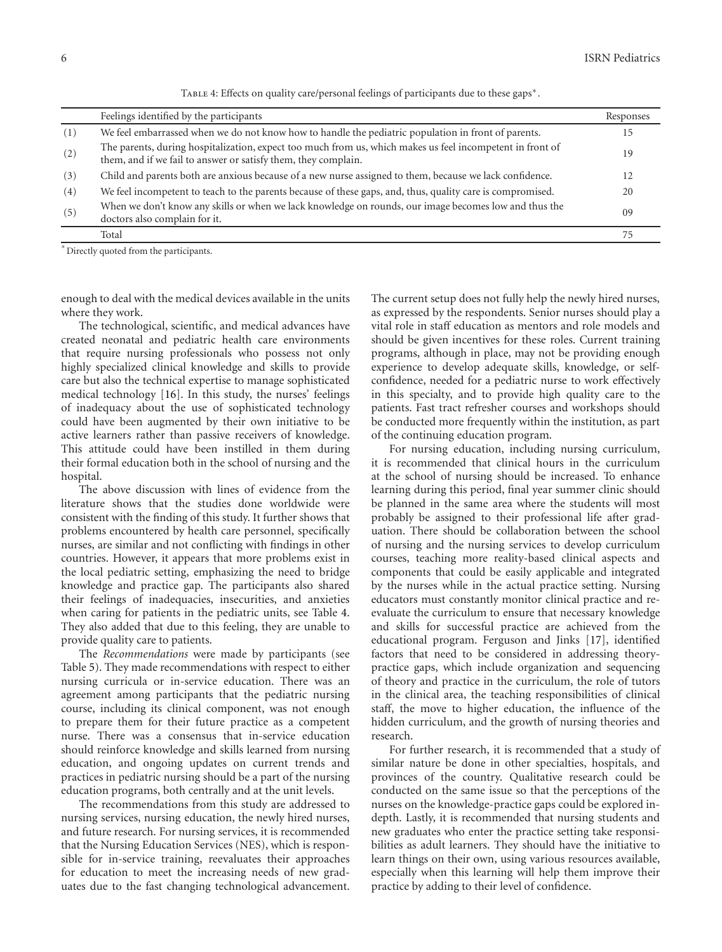Table 4: Effects on quality care/personal feelings of participants due to these gaps∗.

|     | Feelings identified by the participants                                                                                                                                     | Responses |
|-----|-----------------------------------------------------------------------------------------------------------------------------------------------------------------------------|-----------|
| (1) | We feel embarrassed when we do not know how to handle the pediatric population in front of parents.                                                                         | 15        |
| (2) | The parents, during hospitalization, expect too much from us, which makes us feel incompetent in front of<br>them, and if we fail to answer or satisfy them, they complain. | 19        |
| (3) | Child and parents both are anxious because of a new nurse assigned to them, because we lack confidence.                                                                     | 12        |
| (4) | We feel incompetent to teach to the parents because of these gaps, and, thus, quality care is compromised.                                                                  | 20        |
| (5) | When we don't know any skills or when we lack knowledge on rounds, our image becomes low and thus the<br>doctors also complain for it.                                      | 09        |
|     | Total                                                                                                                                                                       | 75        |

∗ Directly quoted from the participants.

enough to deal with the medical devices available in the units where they work.

The technological, scientific, and medical advances have created neonatal and pediatric health care environments that require nursing professionals who possess not only highly specialized clinical knowledge and skills to provide care but also the technical expertise to manage sophisticated medical technology [16]. In this study, the nurses' feelings of inadequacy about the use of sophisticated technology could have been augmented by their own initiative to be active learners rather than passive receivers of knowledge. This attitude could have been instilled in them during their formal education both in the school of nursing and the hospital.

The above discussion with lines of evidence from the literature shows that the studies done worldwide were consistent with the finding of this study. It further shows that problems encountered by health care personnel, specifically nurses, are similar and not conflicting with findings in other countries. However, it appears that more problems exist in the local pediatric setting, emphasizing the need to bridge knowledge and practice gap. The participants also shared their feelings of inadequacies, insecurities, and anxieties when caring for patients in the pediatric units, see Table 4. They also added that due to this feeling, they are unable to provide quality care to patients.

The *Recommendations* were made by participants (see Table 5). They made recommendations with respect to either nursing curricula or in-service education. There was an agreement among participants that the pediatric nursing course, including its clinical component, was not enough to prepare them for their future practice as a competent nurse. There was a consensus that in-service education should reinforce knowledge and skills learned from nursing education, and ongoing updates on current trends and practices in pediatric nursing should be a part of the nursing education programs, both centrally and at the unit levels.

The recommendations from this study are addressed to nursing services, nursing education, the newly hired nurses, and future research. For nursing services, it is recommended that the Nursing Education Services (NES), which is responsible for in-service training, reevaluates their approaches for education to meet the increasing needs of new graduates due to the fast changing technological advancement. The current setup does not fully help the newly hired nurses, as expressed by the respondents. Senior nurses should play a vital role in staff education as mentors and role models and should be given incentives for these roles. Current training programs, although in place, may not be providing enough experience to develop adequate skills, knowledge, or selfconfidence, needed for a pediatric nurse to work effectively in this specialty, and to provide high quality care to the patients. Fast tract refresher courses and workshops should be conducted more frequently within the institution, as part of the continuing education program.

For nursing education, including nursing curriculum, it is recommended that clinical hours in the curriculum at the school of nursing should be increased. To enhance learning during this period, final year summer clinic should be planned in the same area where the students will most probably be assigned to their professional life after graduation. There should be collaboration between the school of nursing and the nursing services to develop curriculum courses, teaching more reality-based clinical aspects and components that could be easily applicable and integrated by the nurses while in the actual practice setting. Nursing educators must constantly monitor clinical practice and reevaluate the curriculum to ensure that necessary knowledge and skills for successful practice are achieved from the educational program. Ferguson and Jinks [17], identified factors that need to be considered in addressing theorypractice gaps, which include organization and sequencing of theory and practice in the curriculum, the role of tutors in the clinical area, the teaching responsibilities of clinical staff, the move to higher education, the influence of the hidden curriculum, and the growth of nursing theories and research.

For further research, it is recommended that a study of similar nature be done in other specialties, hospitals, and provinces of the country. Qualitative research could be conducted on the same issue so that the perceptions of the nurses on the knowledge-practice gaps could be explored indepth. Lastly, it is recommended that nursing students and new graduates who enter the practice setting take responsibilities as adult learners. They should have the initiative to learn things on their own, using various resources available, especially when this learning will help them improve their practice by adding to their level of confidence.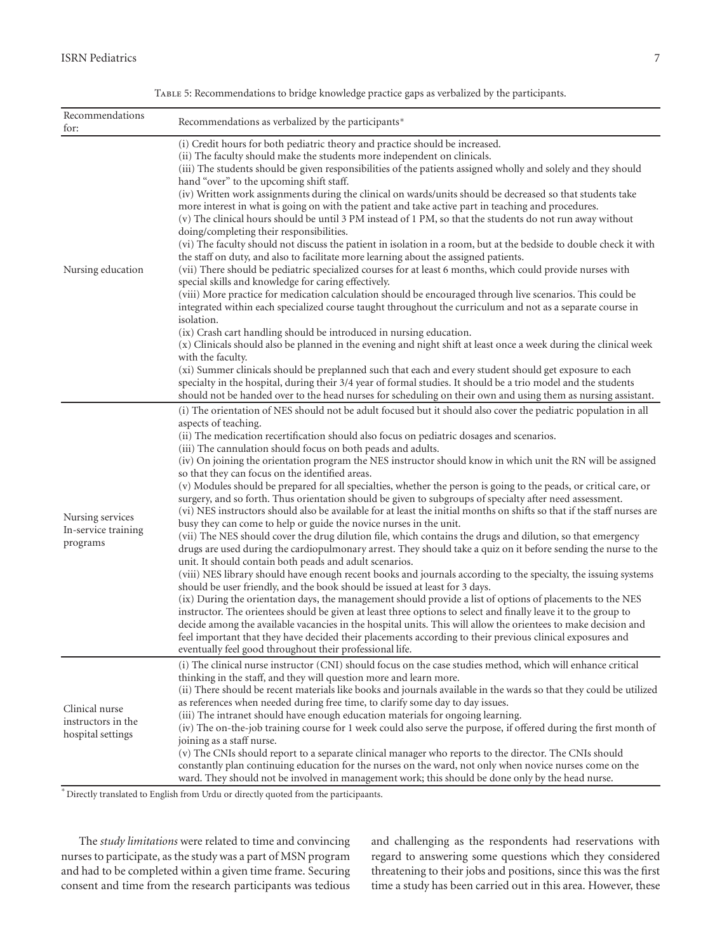| <b>ISRN Pediatrics</b> |                                                                                               |  |
|------------------------|-----------------------------------------------------------------------------------------------|--|
|                        |                                                                                               |  |
|                        | TABLE 5: Recommendations to bridge knowledge practice gaps as verbalized by the participants. |  |

| Recommendations<br>for:                                   | Recommendations as verbalized by the participants*                                                                                                                                                                                                                                                                                                                                                                                                                                                                                                                                                                                                                                                                                                                                                                                                                                                                                                                                                                                                                                                                                                                                                                                                                                                                                                                                                                                                                                                                                                                                                                                                                                                                                                                                                                                                                                                                                    |
|-----------------------------------------------------------|---------------------------------------------------------------------------------------------------------------------------------------------------------------------------------------------------------------------------------------------------------------------------------------------------------------------------------------------------------------------------------------------------------------------------------------------------------------------------------------------------------------------------------------------------------------------------------------------------------------------------------------------------------------------------------------------------------------------------------------------------------------------------------------------------------------------------------------------------------------------------------------------------------------------------------------------------------------------------------------------------------------------------------------------------------------------------------------------------------------------------------------------------------------------------------------------------------------------------------------------------------------------------------------------------------------------------------------------------------------------------------------------------------------------------------------------------------------------------------------------------------------------------------------------------------------------------------------------------------------------------------------------------------------------------------------------------------------------------------------------------------------------------------------------------------------------------------------------------------------------------------------------------------------------------------------|
| Nursing education                                         | (i) Credit hours for both pediatric theory and practice should be increased.<br>(ii) The faculty should make the students more independent on clinicals.<br>(iii) The students should be given responsibilities of the patients assigned wholly and solely and they should<br>hand "over" to the upcoming shift staff.<br>(iv) Written work assignments during the clinical on wards/units should be decreased so that students take<br>more interest in what is going on with the patient and take active part in teaching and procedures.<br>(v) The clinical hours should be until 3 PM instead of 1 PM, so that the students do not run away without<br>doing/completing their responsibilities.<br>(vi) The faculty should not discuss the patient in isolation in a room, but at the bedside to double check it with<br>the staff on duty, and also to facilitate more learning about the assigned patients.<br>(vii) There should be pediatric specialized courses for at least 6 months, which could provide nurses with<br>special skills and knowledge for caring effectively.<br>(viii) More practice for medication calculation should be encouraged through live scenarios. This could be<br>integrated within each specialized course taught throughout the curriculum and not as a separate course in<br>isolation.<br>(ix) Crash cart handling should be introduced in nursing education.<br>(x) Clinicals should also be planned in the evening and night shift at least once a week during the clinical week<br>with the faculty.                                                                                                                                                                                                                                                                                                                                                                                   |
|                                                           | (xi) Summer clinicals should be preplanned such that each and every student should get exposure to each<br>specialty in the hospital, during their 3/4 year of formal studies. It should be a trio model and the students<br>should not be handed over to the head nurses for scheduling on their own and using them as nursing assistant.                                                                                                                                                                                                                                                                                                                                                                                                                                                                                                                                                                                                                                                                                                                                                                                                                                                                                                                                                                                                                                                                                                                                                                                                                                                                                                                                                                                                                                                                                                                                                                                            |
| Nursing services<br>In-service training<br>programs       | (i) The orientation of NES should not be adult focused but it should also cover the pediatric population in all<br>aspects of teaching.<br>(ii) The medication recertification should also focus on pediatric dosages and scenarios.<br>(iii) The cannulation should focus on both peads and adults.<br>(iv) On joining the orientation program the NES instructor should know in which unit the RN will be assigned<br>so that they can focus on the identified areas.<br>(v) Modules should be prepared for all specialties, whether the person is going to the peads, or critical care, or<br>surgery, and so forth. Thus orientation should be given to subgroups of specialty after need assessment.<br>(vi) NES instructors should also be available for at least the initial months on shifts so that if the staff nurses are<br>busy they can come to help or guide the novice nurses in the unit.<br>(vii) The NES should cover the drug dilution file, which contains the drugs and dilution, so that emergency<br>drugs are used during the cardiopulmonary arrest. They should take a quiz on it before sending the nurse to the<br>unit. It should contain both peads and adult scenarios.<br>(viii) NES library should have enough recent books and journals according to the specialty, the issuing systems<br>should be user friendly, and the book should be issued at least for 3 days.<br>(ix) During the orientation days, the management should provide a list of options of placements to the NES<br>instructor. The orientees should be given at least three options to select and finally leave it to the group to<br>decide among the available vacancies in the hospital units. This will allow the orientees to make decision and<br>feel important that they have decided their placements according to their previous clinical exposures and<br>eventually feel good throughout their professional life. |
| Clinical nurse<br>instructors in the<br>hospital settings | (i) The clinical nurse instructor (CNI) should focus on the case studies method, which will enhance critical<br>thinking in the staff, and they will question more and learn more.<br>(ii) There should be recent materials like books and journals available in the wards so that they could be utilized<br>as references when needed during free time, to clarify some day to day issues.<br>(iii) The intranet should have enough education materials for ongoing learning.<br>(iv) The on-the-job training course for 1 week could also serve the purpose, if offered during the first month of<br>joining as a staff nurse.<br>(v) The CNIs should report to a separate clinical manager who reports to the director. The CNIs should<br>constantly plan continuing education for the nurses on the ward, not only when novice nurses come on the<br>ward. They should not be involved in management work; this should be done only by the head nurse.                                                                                                                                                                                                                                                                                                                                                                                                                                                                                                                                                                                                                                                                                                                                                                                                                                                                                                                                                                           |

∗ Directly translated to English from Urdu or directly quoted from the participaants.

The *study limitations* were related to time and convincing nurses to participate, as the study was a part of MSN program and had to be completed within a given time frame. Securing consent and time from the research participants was tedious

and challenging as the respondents had reservations with regard to answering some questions which they considered threatening to their jobs and positions, since this was the first time a study has been carried out in this area. However, these